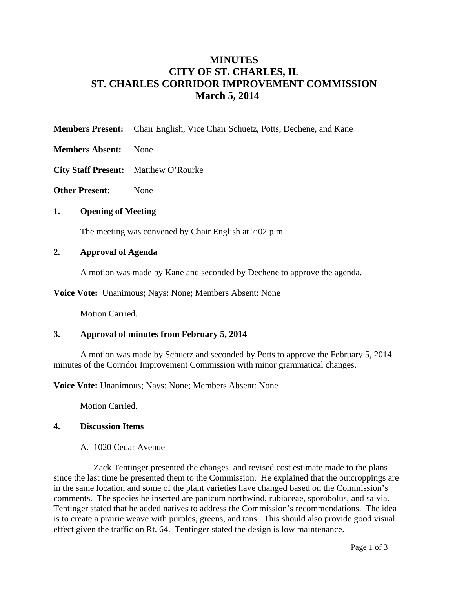# **MINUTES CITY OF ST. CHARLES, IL ST. CHARLES CORRIDOR IMPROVEMENT COMMISSION March 5, 2014**

- **Members Present:** Chair English, Vice Chair Schuetz, Potts, Dechene, and Kane
- **Members Absent:** None
- **City Staff Present:** Matthew O'Rourke
- **Other Present:** None

## **1. Opening of Meeting**

The meeting was convened by Chair English at 7:02 p.m.

## **2. Approval of Agenda**

A motion was made by Kane and seconded by Dechene to approve the agenda.

**Voice Vote:** Unanimous; Nays: None; Members Absent: None

Motion Carried.

# **3. Approval of minutes from February 5, 2014**

 A motion was made by Schuetz and seconded by Potts to approve the February 5, 2014 minutes of the Corridor Improvement Commission with minor grammatical changes.

**Voice Vote:** Unanimous; Nays: None; Members Absent: None

Motion Carried.

#### **4. Discussion Items**

A. 1020 Cedar Avenue

Zack Tentinger presented the changes and revised cost estimate made to the plans since the last time he presented them to the Commission. He explained that the outcroppings are in the same location and some of the plant varieties have changed based on the Commission's comments. The species he inserted are panicum northwind, rubiaceae, sporobolus, and salvia. Tentinger stated that he added natives to address the Commission's recommendations. The idea is to create a prairie weave with purples, greens, and tans. This should also provide good visual effect given the traffic on Rt. 64. Tentinger stated the design is low maintenance.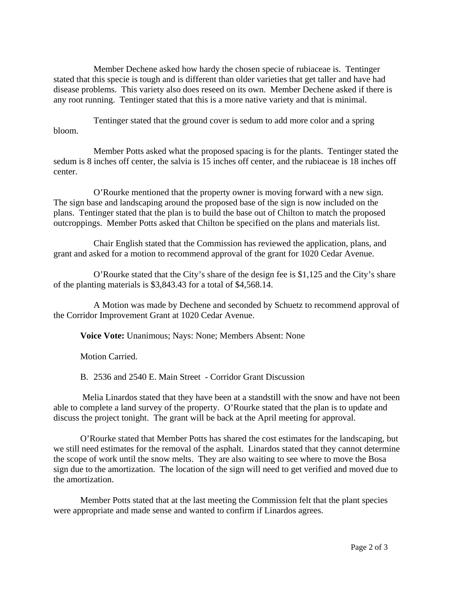Member Dechene asked how hardy the chosen specie of rubiaceae is. Tentinger stated that this specie is tough and is different than older varieties that get taller and have had disease problems. This variety also does reseed on its own. Member Dechene asked if there is any root running. Tentinger stated that this is a more native variety and that is minimal.

Tentinger stated that the ground cover is sedum to add more color and a spring bloom.

Member Potts asked what the proposed spacing is for the plants. Tentinger stated the sedum is 8 inches off center, the salvia is 15 inches off center, and the rubiaceae is 18 inches off center.

O'Rourke mentioned that the property owner is moving forward with a new sign. The sign base and landscaping around the proposed base of the sign is now included on the plans. Tentinger stated that the plan is to build the base out of Chilton to match the proposed outcroppings. Member Potts asked that Chilton be specified on the plans and materials list.

Chair English stated that the Commission has reviewed the application, plans, and grant and asked for a motion to recommend approval of the grant for 1020 Cedar Avenue.

O'Rourke stated that the City's share of the design fee is \$1,125 and the City's share of the planting materials is \$3,843.43 for a total of \$4,568.14.

A Motion was made by Dechene and seconded by Schuetz to recommend approval of the Corridor Improvement Grant at 1020 Cedar Avenue.

**Voice Vote:** Unanimous; Nays: None; Members Absent: None

Motion Carried.

B. 2536 and 2540 E. Main Street - Corridor Grant Discussion

 Melia Linardos stated that they have been at a standstill with the snow and have not been able to complete a land survey of the property. O'Rourke stated that the plan is to update and discuss the project tonight. The grant will be back at the April meeting for approval.

O'Rourke stated that Member Potts has shared the cost estimates for the landscaping, but we still need estimates for the removal of the asphalt. Linardos stated that they cannot determine the scope of work until the snow melts. They are also waiting to see where to move the Bosa sign due to the amortization. The location of the sign will need to get verified and moved due to the amortization.

Member Potts stated that at the last meeting the Commission felt that the plant species were appropriate and made sense and wanted to confirm if Linardos agrees.